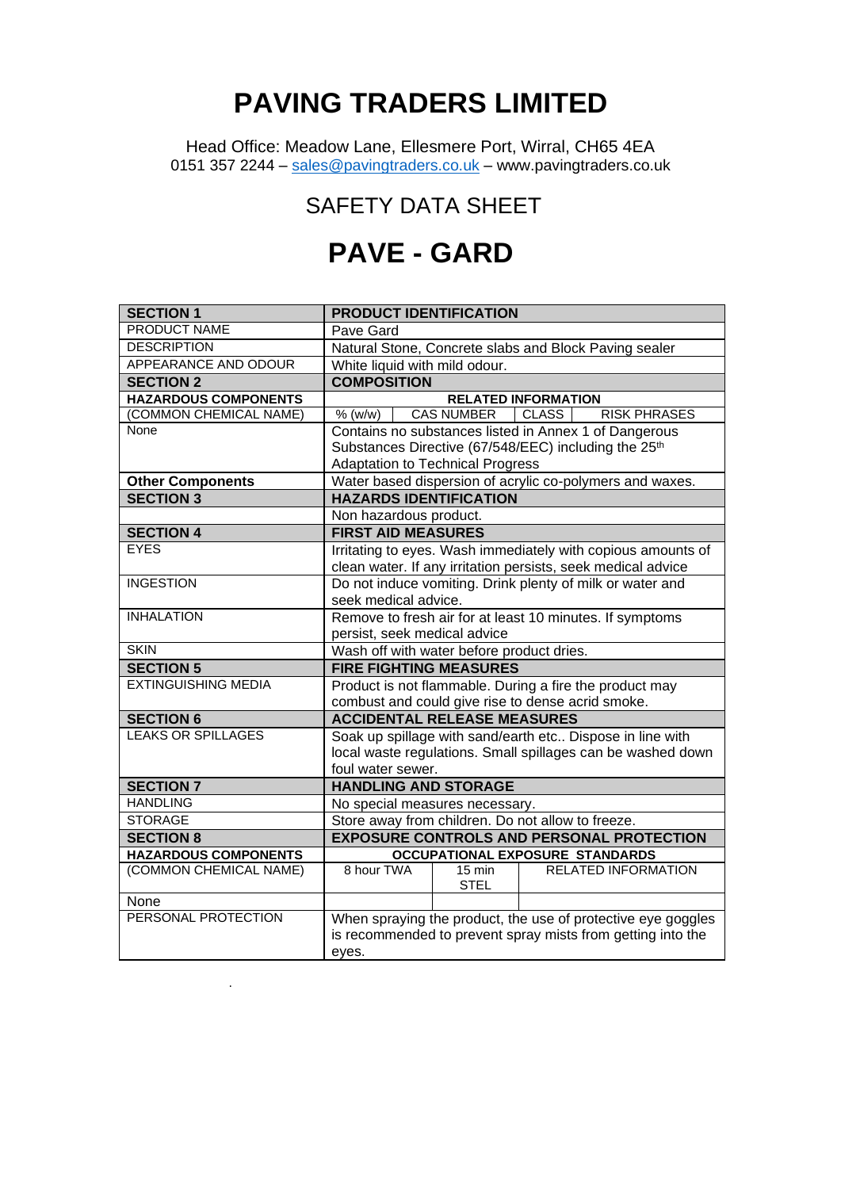## **PAVING TRADERS LIMITED**

Head Office: Meadow Lane, Ellesmere Port, Wirral, CH65 4EA 0151 357 2244 – [sales@pavingtraders.co.uk](mailto:sales@pavingtraders.co.uk) – www.pavingtraders.co.uk

## SAFETY DATA SHEET

## **PAVE - GARD**

| <b>SECTION 1</b>            | <b>PRODUCT IDENTIFICATION</b>                                       |  |  |  |  |  |
|-----------------------------|---------------------------------------------------------------------|--|--|--|--|--|
| <b>PRODUCT NAME</b>         | Pave Gard                                                           |  |  |  |  |  |
| <b>DESCRIPTION</b>          | Natural Stone, Concrete slabs and Block Paving sealer               |  |  |  |  |  |
| APPEARANCE AND ODOUR        | White liquid with mild odour.                                       |  |  |  |  |  |
| <b>SECTION 2</b>            | <b>COMPOSITION</b>                                                  |  |  |  |  |  |
| <b>HAZARDOUS COMPONENTS</b> | <b>RELATED INFORMATION</b>                                          |  |  |  |  |  |
| (COMMON CHEMICAL NAME)      | <b>CAS NUMBER</b><br><b>CLASS</b><br><b>RISK PHRASES</b><br>% (w/w) |  |  |  |  |  |
| None                        | Contains no substances listed in Annex 1 of Dangerous               |  |  |  |  |  |
|                             | Substances Directive (67/548/EEC) including the 25 <sup>th</sup>    |  |  |  |  |  |
|                             | <b>Adaptation to Technical Progress</b>                             |  |  |  |  |  |
| <b>Other Components</b>     | Water based dispersion of acrylic co-polymers and waxes.            |  |  |  |  |  |
| <b>SECTION 3</b>            | <b>HAZARDS IDENTIFICATION</b>                                       |  |  |  |  |  |
|                             | Non hazardous product.                                              |  |  |  |  |  |
| <b>SECTION 4</b>            | <b>FIRST AID MEASURES</b>                                           |  |  |  |  |  |
| <b>EYES</b>                 | Irritating to eyes. Wash immediately with copious amounts of        |  |  |  |  |  |
|                             | clean water. If any irritation persists, seek medical advice        |  |  |  |  |  |
| <b>INGESTION</b>            | Do not induce vomiting. Drink plenty of milk or water and           |  |  |  |  |  |
|                             | seek medical advice.                                                |  |  |  |  |  |
| <b>INHALATION</b>           | Remove to fresh air for at least 10 minutes. If symptoms            |  |  |  |  |  |
|                             | persist, seek medical advice                                        |  |  |  |  |  |
| <b>SKIN</b>                 | Wash off with water before product dries.                           |  |  |  |  |  |
| <b>SECTION 5</b>            | <b>FIRE FIGHTING MEASURES</b>                                       |  |  |  |  |  |
| <b>EXTINGUISHING MEDIA</b>  | Product is not flammable. During a fire the product may             |  |  |  |  |  |
|                             | combust and could give rise to dense acrid smoke.                   |  |  |  |  |  |
| <b>SECTION 6</b>            | <b>ACCIDENTAL RELEASE MEASURES</b>                                  |  |  |  |  |  |
| <b>LEAKS OR SPILLAGES</b>   | Soak up spillage with sand/earth etc Dispose in line with           |  |  |  |  |  |
|                             | local waste regulations. Small spillages can be washed down         |  |  |  |  |  |
|                             | foul water sewer.                                                   |  |  |  |  |  |
| <b>SECTION 7</b>            | <b>HANDLING AND STORAGE</b>                                         |  |  |  |  |  |
| <b>HANDLING</b>             | No special measures necessary.                                      |  |  |  |  |  |
| <b>STORAGE</b>              | Store away from children. Do not allow to freeze.                   |  |  |  |  |  |
| <b>SECTION 8</b>            | <b>EXPOSURE CONTROLS AND PERSONAL PROTECTION</b>                    |  |  |  |  |  |
| <b>HAZARDOUS COMPONENTS</b> | <b>OCCUPATIONAL EXPOSURE STANDARDS</b>                              |  |  |  |  |  |
| (COMMON CHEMICAL NAME)      | 8 hour TWA<br><b>RELATED INFORMATION</b><br>$15 \text{ min}$        |  |  |  |  |  |
|                             | <b>STEL</b>                                                         |  |  |  |  |  |
| None<br>PERSONAL PROTECTION |                                                                     |  |  |  |  |  |
|                             | When spraying the product, the use of protective eye goggles        |  |  |  |  |  |
|                             | is recommended to prevent spray mists from getting into the         |  |  |  |  |  |
|                             | eyes.                                                               |  |  |  |  |  |

.